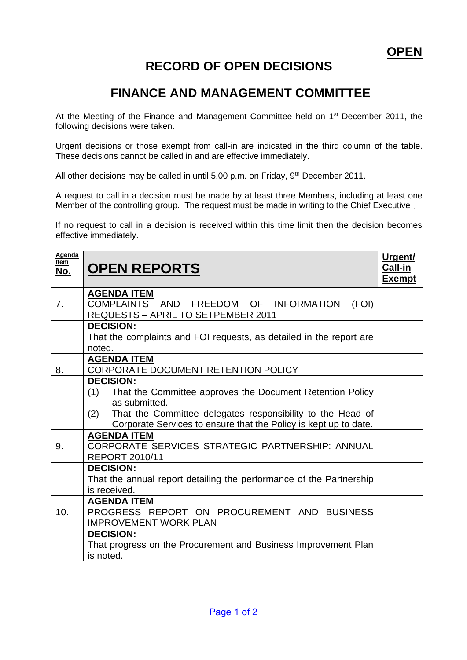## **RECORD OF OPEN DECISIONS**

## **FINANCE AND MANAGEMENT COMMITTEE**

At the Meeting of the Finance and Management Committee held on 1<sup>st</sup> December 2011, the following decisions were taken.

Urgent decisions or those exempt from call-in are indicated in the third column of the table. These decisions cannot be called in and are effective immediately.

All other decisions may be called in until 5.00 p.m. on Friday, 9<sup>th</sup> December 2011.

A request to call in a decision must be made by at least three Members, including at least one Member of the controlling group. The request must be made in writing to the Chief Executive<sup>1</sup>.

If no request to call in a decision is received within this time limit then the decision becomes effective immediately.

| Agenda<br>Item<br><u>No.</u> | <b>OPEN REPORTS</b>                                                                                                                                                                                                                            | Urgent/<br>Call-in<br><b>Exempt</b> |
|------------------------------|------------------------------------------------------------------------------------------------------------------------------------------------------------------------------------------------------------------------------------------------|-------------------------------------|
| 7.                           | <b>AGENDA ITEM</b><br>COMPLAINTS AND FREEDOM OF INFORMATION<br>(FOI)<br><b>REQUESTS - APRIL TO SETPEMBER 2011</b>                                                                                                                              |                                     |
|                              | <b>DECISION:</b><br>That the complaints and FOI requests, as detailed in the report are<br>noted.                                                                                                                                              |                                     |
| 8.                           | <b>AGENDA ITEM</b><br>CORPORATE DOCUMENT RETENTION POLICY                                                                                                                                                                                      |                                     |
|                              | <b>DECISION:</b><br>(1)<br>That the Committee approves the Document Retention Policy<br>as submitted.<br>That the Committee delegates responsibility to the Head of<br>(2)<br>Corporate Services to ensure that the Policy is kept up to date. |                                     |
| 9.                           | <b>AGENDA ITEM</b><br>CORPORATE SERVICES STRATEGIC PARTNERSHIP: ANNUAL<br><b>REPORT 2010/11</b>                                                                                                                                                |                                     |
|                              | <b>DECISION:</b><br>That the annual report detailing the performance of the Partnership<br>is received.                                                                                                                                        |                                     |
| 10.                          | <b>AGENDA ITEM</b><br>PROGRESS REPORT ON PROCUREMENT AND BUSINESS<br><b>IMPROVEMENT WORK PLAN</b>                                                                                                                                              |                                     |
|                              | <b>DECISION:</b><br>That progress on the Procurement and Business Improvement Plan<br>is noted.                                                                                                                                                |                                     |